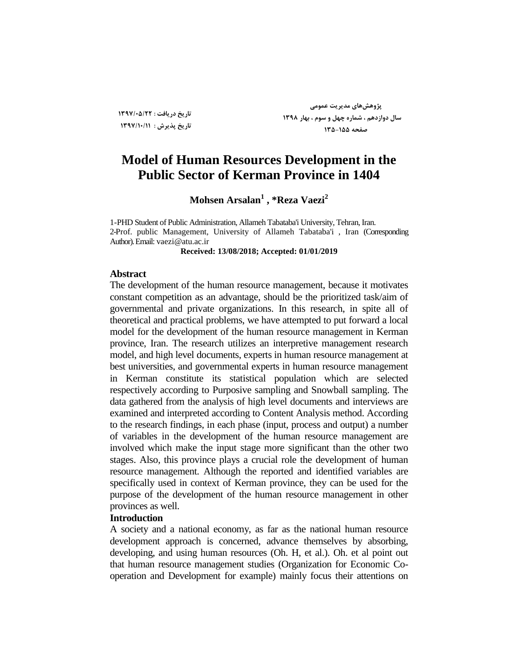**تاریخ دریافت : 1331/05/22 تاریخ پذیزش : 1331/10/11**

**پژٍّصّای هذیزیت عوَهی سال دٍاسدّن ، ضوارُ چْل ٍ سَم ، بْار 1331 صفحِ 135-155**

# **Model of Human Resources Development in the Public Sector of Kerman Province in 1404**

**Mohsen Arsalan<sup>1</sup> , \*Reza Vaezi<sup>2</sup>**

1-PHD Student of Public Administration, Allameh Tabataba'i University, Tehran, Iran. 2-Prof. public Management, University of Allameh Tabataba'i , Iran (Corresponding Author). Email: vaezi@atu.ac.ir

**Received: 13/08/2018; Accepted: 01/01/2019**

#### **Abstract**

The development of the human resource management, because it motivates constant competition as an advantage, should be the prioritized task/aim of governmental and private organizations. In this research, in spite all of theoretical and practical problems, we have attempted to put forward a local model for the development of the human resource management in Kerman province, Iran. The research utilizes an interpretive management research model, and high level documents, experts in human resource management at best universities, and governmental experts in human resource management in Kerman constitute its statistical population which are selected respectively according to Purposive sampling and Snowball sampling. The data gathered from the analysis of high level documents and interviews are examined and interpreted according to Content Analysis method. According to the research findings, in each phase (input, process and output) a number of variables in the development of the human resource management are involved which make the input stage more significant than the other two stages. Also, this province plays a crucial role the development of human resource management. Although the reported and identified variables are specifically used in context of Kerman province, they can be used for the purpose of the development of the human resource management in other provinces as well.

### **Introduction**

A society and a national economy, as far as the national human resource development approach is concerned, advance themselves by absorbing, developing, and using human resources (Oh. H, et al.). Oh. et al point out that human resource management studies (Organization for Economic Cooperation and Development for example) mainly focus their attentions on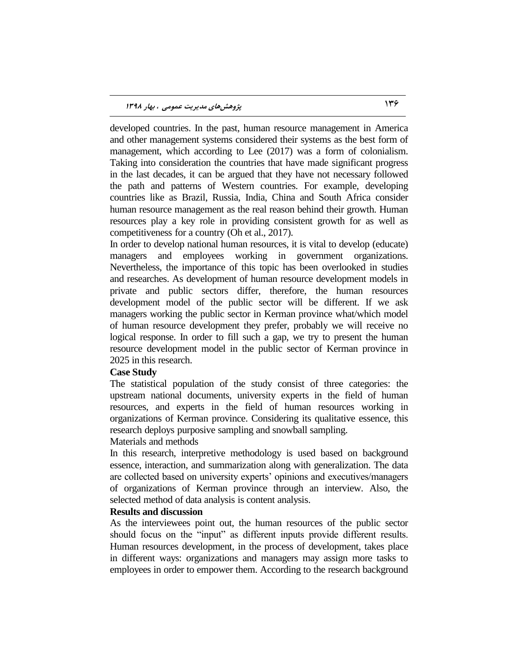developed countries. In the past, human resource management in America and other management systems considered their systems as the best form of management, which according to Lee (2017) was a form of colonialism. Taking into consideration the countries that have made significant progress in the last decades, it can be argued that they have not necessary followed the path and patterns of Western countries. For example, developing countries like as Brazil, Russia, India, China and South Africa consider human resource management as the real reason behind their growth. Human resources play a key role in providing consistent growth for as well as competitiveness for a country (Oh et al., 2017).

In order to develop national human resources, it is vital to develop (educate) managers and employees working in government organizations. Nevertheless, the importance of this topic has been overlooked in studies and researches. As development of human resource development models in private and public sectors differ, therefore, the human resources development model of the public sector will be different. If we ask managers working the public sector in Kerman province what/which model of human resource development they prefer, probably we will receive no logical response. In order to fill such a gap, we try to present the human resource development model in the public sector of Kerman province in 2025 in this research.

#### **Case Study**

The statistical population of the study consist of three categories: the upstream national documents, university experts in the field of human resources, and experts in the field of human resources working in organizations of Kerman province. Considering its qualitative essence, this research deploys purposive sampling and snowball sampling.

#### Materials and methods

In this research, interpretive methodology is used based on background essence, interaction, and summarization along with generalization. The data are collected based on university experts' opinions and executives/managers of organizations of Kerman province through an interview. Also, the selected method of data analysis is content analysis.

## **Results and discussion**

As the interviewees point out, the human resources of the public sector should focus on the "input" as different inputs provide different results. Human resources development, in the process of development, takes place in different ways: organizations and managers may assign more tasks to employees in order to empower them. According to the research background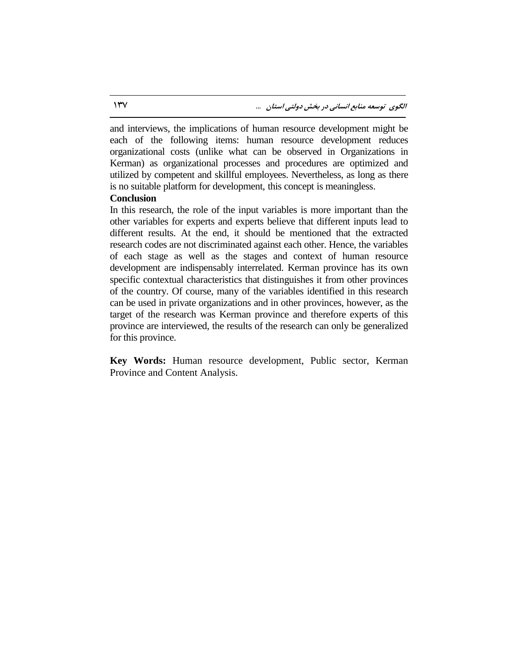and interviews, the implications of human resource development might be each of the following items: human resource development reduces organizational costs (unlike what can be observed in Organizations in Kerman) as organizational processes and procedures are optimized and utilized by competent and skillful employees. Nevertheless, as long as there is no suitable platform for development, this concept is meaningless.

#### **Conclusion**

In this research, the role of the input variables is more important than the other variables for experts and experts believe that different inputs lead to different results. At the end, it should be mentioned that the extracted research codes are not discriminated against each other. Hence, the variables of each stage as well as the stages and context of human resource development are indispensably interrelated. Kerman province has its own specific contextual characteristics that distinguishes it from other provinces of the country. Of course, many of the variables identified in this research can be used in private organizations and in other provinces, however, as the target of the research was Kerman province and therefore experts of this province are interviewed, the results of the research can only be generalized for this province.

**Key Words:** Human resource development, Public sector, Kerman Province and Content Analysis.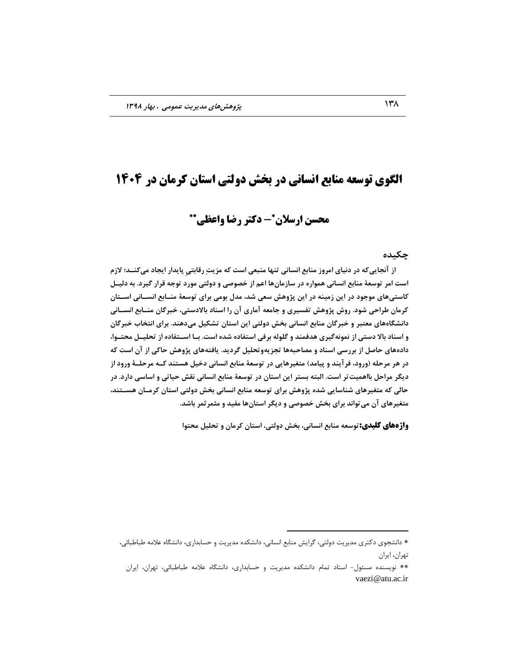# **الگوی توسعه منابع انسانی در بخش دولتی استان کرمان در 4141**

# **- دکتر رضا واعظی محسن ارسالن**

### **چکیذُ**

از آنجایی *ک*ه در دنیای امروز منابع انسانی تنها منبعی است که مزیتِ رقابتی پایدار ایجاد میکنــد؛ لازم **است اهز تَسعۀ هٌابع اًساًی ّوَارُ در ساسهاىّا اعن اس خصَصی ٍ دٍلتی هَرد تَجِ قزار گیزد. بِ دلیدل**  کاستی**های موجود در این زمینه در این پژوهش سعی** شد، مدل بومی برای توسعۀ منـابع انســانی اســتان کرمان طراحی شود. روش پژوهش تفسیری و جامعه آماری آن را اسناد بالادستی، خبرگان منــابع انســانی **داًطگاُّای هعتبز ٍ خبزگاى هٌابع اًساًی بخص دٍلتی ایي استاى تطکیل هیدٌّذ. بزای اًتخاب خبزگاى و اسناد بالا دستی از نمونه گیری هدفمند و گلوله برفی استفاده شده است. بـا اســتفاده از تحلیــل محتــوا،** دادههای حاصل از بررسی اسناد و مصاحبِهها تجزیهوتحلیل گردید. یافتههای پژوهش حاکی از آن است که در هر مرحله (ورود، فرآیند و پیامد) متغیرهایی در توسعۀ منابع انسانی دخیل هستند کــه مرحلــۀ ورود از **دیگز هزاحل بااّویتتز است. البتِ بستز ایي استاى در تَسعۀ هٌابع اًساًی ًقص حیاتی ٍ اساسی دارد. در حالی کِ هتغیزّای ضٌاسایی ضذُ پژٍّص بزای تَسعِ هٌابع اًساًی بخص دٍلتی استاى کزهداى ّسدتٌذ، هتغیزّای آى هیتَاًذ بزای بخص خصَصی ٍ دیگز استاىّا هفیذ ٍ هثوزثوز باضذ.**

**واژههای کلیدی:**توسعه منابع انسانی، بخش دولتی، استان کرمان و تحلیل محتوا

 $\overline{a}$ 

<sup>\*</sup> دانشجوی دکتری مدیریت دولتی، گرایش منابع انسانی، دانشکده مدیریت و حسابداری، دانشگاه علامه طباطبائی، تهران، ايران

<sup>\*\*</sup> نويسنده مسئول- استاد تمام دانشكده مديريت و حسابداري، دانشگاه علامه طباطبائي، تهران، ايران vaezi@atu.ac.ir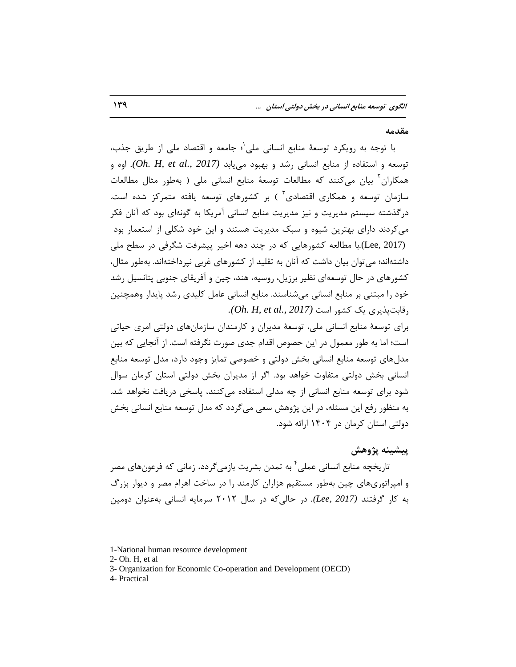**هقذهِ**

با توجه به رویکرد توسعهٔ منابع انسانی ملی`؛ جامعه و اقتصاد ملی از طریق جذب، توسعه و استفاده از منابع انسانی رشد و بهبود مییابد *(Oh. H, et al., 2017).* اوه و همکا,ان<sup>۲</sup> بیان می کنند که مطالعات توسعهٔ منابع انسانی ملی ( بهطور مثال مطالعات سازمان توسعه و همکاری اقتصادی ؓ ) بر کشورهای توسعه یافته متمرکز شده است. در گذشته سیستم مدیریت و نیز مدیریت منابع انسانی آمریکا به گونهای بود که آنان فکر می کردند دارای بهترین شیوه و سبک مدیریت هستند و این خود شکلی از استعمار بود (Lee, 2017).با مطالعه كشورهايي كه در چند دهه اخير پيشرفت شگرفي در سطح ملي داشتهاند؛ می توان بیان داشت که آنان به تقلید از کشورهای غربی نپرداختهاند. بهطور مثال، كشورهاي در حال توسعهاي نظير برزيل، روسيه، هند، چين و آفريقاي جنوبي پتانسيل رشد خود را مبتنی بر منابع انسانی میشناسند. منابع انسانی عامل کلیدی رشد پایدار وهمچنین , قابت بذیری یک کشو, است *(Oh. H, et al., 2017).* 

براي توسعهٔ منابع انساني ملي، توسعهٔ مديران و کارمندان سازمانهاي دولتي امري حياتي است؛ اما به طور معمول در این خصوص اقدام جدی صورت نگرفته است. از آنجایی که بین مدل های توسعه منابع انسانی بخش دولتی و خصوصی تمایز وجود دارد، مدل توسعه منابع انسانی بخش دولتی متفاوت خواهد بود. اگر از مدیران بخش دولتی استان کرمان سوال شود برای توسعه منابع انسانی از چه مدلی استفاده میکنند، پاسخی دریافت نخواهد شد. به منظور رفع این مسئله، در این پژوهش سعی می گردد که مدل توسعه منابع انسانی بخش دولتی استان کرمان در ۱۴۰۴ ارائه شود.

**پیطیٌِ پژٍّص**

تاریخچه منابع انسانی عملی ٔ به تمدن بشریت بازمیگردد، زمانی که فرعونهای مصر و امپراتوري هاي چين به طور مستقيم هزاران كارمند را در ساخت اهرام مصر و ديوار بزرگ به کار گرفتند *(2017 ,Lee).* در حالی4که در سال ۲۰۱۲ سرمایه انسانی بهعنوان دومین

 $\overline{a}$ 

4- Practical

<sup>1-</sup>National human resource development

<sup>2-</sup> Oh. H, et al

<sup>3-</sup> Organization for Economic Co-operation and Development (OECD)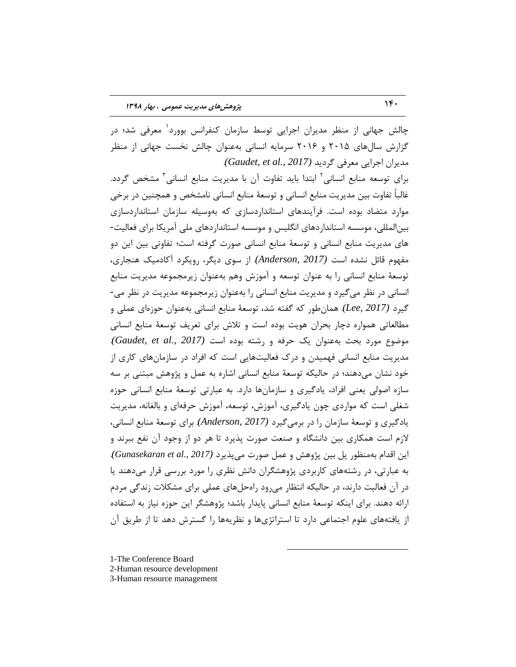چالش جهانی از منظر مدیران اجرایی توسط سازمان کنفرانس بوورد<sup>۱</sup> معرفی شد؛ در گزارش سالهای ۲۰۱۵ و ۲۰۱۶ سرمایه انسانی بهعنوان چالش نخست جهانی از منظر ٔس٤طاٖ اخطا٣٤ ٔؼطف٣ ٌطز٤س *(2017 .,al et ,Gaudet(*. برای توسعه منابع انسانی<sup>۲</sup> ابتدا باید تفاوت آن با مدیریت منابع انسانی<sup>۳</sup> مشخص گردد. غالباً تفاوت بین مدیریت منابع انسانی و توسعهٔ منابع انسانی نامشخص و همچنین در برخی موارد متضاد بوده است. فرآیندهای استانداردسازی که بهوسیله سازمان استانداردسازی بین|لمللی، موسسه استانداردهای انگلیس و موسسه استانداردهای ملی آمریکا برای فعالیت-های مدیریت منابع انسانی و توسعهٔ منابع انسانی صورت گرفته است؛ تفاوتی بین این دو هفّهوم قائل نشده است *(2017 ,Anderson)* از سوى ديگر، رويكرد آكادميك هنجارى، توسعهٔ منابع انسانی را به عنوان توسعه و آموزش وهم بهعنوان زیرمجموعه مدیریت منابع انسانی در نظر می گیرد و مدیریت منابع انسانی را بهعنوان زیرمجموعه مدیریت در نظر می-كيرد *(Lee, 2017). همان طور كه گفته شد*، توسعهٔ منابع انساني بهعنوان حوزهاي عملي و مطالعاتی همواره دچار بحران هویت بوده است و تلاش برای تعریف توسعهٔ منابع انسانی ٛٔضٛع ٛٔضز ثحث ثٝػٛٙاٖ ٤ه حطفٝ ٚ ضقتٝ ثٛزٜ اؾت *(2017 .,al et ,Gaudet(*. مدیریت منابع انسانی فهمیدن و درک فعالیتهایی است که افراد در سازمانهای کاری از خود نشان میدهند؛ در حالیکه توسعهٔ منابع انسانی اشاره به عمل و پژوهش مبتنی بر سه سازه اصولی یعنی افراد، یادگیری و سازمانها دارد. به عبارتی توسعهٔ منابع انسانی حوزه شغلی است که مواردی چون یادگیری، آموزش، توسعه، آموزش حرفهای و بالغانه، مدیریت يادگيري و توسعهٔ سازمان را در برميگيرد *(Anderson, 2017). براي* توسعهٔ منابع انساني، لازم است همكارى بين دانشگاه و صنعت صورت پذيرد تا هر دو از وجود آن نفع ببرند و این اقدام بهمنظور پل بین پژوهش و عمل صورت میپذیرد *(Gunasekaran et al., 2017)*. به عبارتی، در رشتههای کاربردی پژوهشگران دانش نظری را مورد بررسی قرار میدهند یا در آن فعالیت دارند، در حالیکه انتظار می رود راهحلهای عملی برای مشکلات زندگی مردم ارائه دهند. برای اینکه توسعهٔ منابع انسانی پایدار باشد؛ پژوهشگر این حوزه نیاز به استفاده از يافتههاي علوم اجتماعي دارد تا استراتژيها و نظريهها را گسترش دهد تا از طريق آن

 $\overline{a}$ 

- 1-The Conference Board
- 2-Human resource development
- 3-Human resource management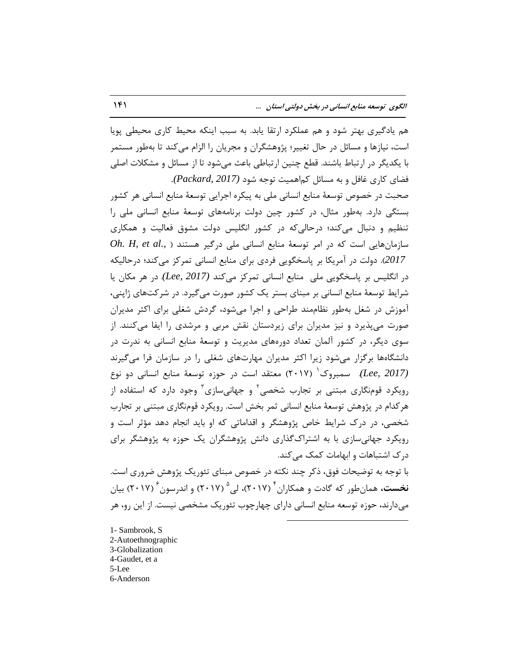هم يادگيرى بهتر شود و هم عملكرد ارتقا يابد. به سبب اينكه محيط كارى محيطى يويا است، نیازها و مسائل در حال تغییر؛ پژوهشگران و مجریان را الزام میکند تا بهطور مستمر با یکدیگر در ارتباط باشند. قطع چنین ارتباطی باعث می شود تا از مسائل و مشکلات اصلی فضای کاری غافل و به مسائل کماهمیت توجه شود *(Packard, 2017).* 

صحبت در خصوص توسعهٔ منابع انسانی ملی به پیکره اجرایی توسعهٔ منابع انسانی هر کشور بستگی دارد. بهطور مثال، در كشور چین دولت برنامههای توسعهٔ منابع انسانی ملی را تنظيم و دنبال می كند؛ درحالی كه در كشور انگلیس دولت مشوق فعالیت و همكاری  $oh. H.$ et al., ) سازمانهایی است که در امر توسعهٔ منابع انسانی ملی درگیر هستند 2017). دولت در آمريكا بر پاسخگويي فردي براي منابع انساني تمركز ميكند؛ درحاليكه در انگلیس بر پاسخگویی ملی ِ منابع انسانی تمرکز میکند (Lee, 2017). در هر مکان یا شرايط توسعهٔ منابع انسانی بر مبنای بستر يک کشور صورت میگيرد. در شرکتهای ژاپنی، آموزش در شغل بهطور نظاممند طراحی و اجرا میشود، گردش شغلی برای اکثر مدیران ضورت می پذیرد و نیز مدیران برای زیردستان نقش مربی و مرشدی را ایفا می کنند. از سوی دیگر، در کشور آلمان تعداد دورههای مدیریت و توسعهٔ منابع انسانی به ندرت در دانشگاهها برگزار میشود زیرا اكثر مدیران مهارتهای شغلی را در سازمان فرا میگیرند (*Lee*, 2017). سمبروک<sup>'</sup> (۲۰۱۷) معتقد است در حوزه توسعهٔ منابع انسانی دو نوع رویکرد قومنگاری مبتنی بر تجارب شخصی<sup>۲</sup> و جهانیسازی<sup>۳</sup> وجود دارد که استفاده از هركدام در پژوهش توسعهٔ منابع انسانی ثمر بخش است. رویكرد قومنگاری مبتنی بر تجارب شخصی، در درک شرایط خاص پژوهشگر و اقداماتی که او باید انجام دهد مؤثر است و رویکرد جهانیسازی با به اشتراک گذاری دانش پژوهشگران یک حوزه به پژوهشگر برای درک اشتباهات و ابهامات کمک می کند.

با توجه به توضیحات فوق، ذکر چند نکته در خصوص مبنای تئوریک پژوهش ضروری است. **نخست،** همانطور که گادت و همکاران ٔ ۲۰۱۷)، لی<sup>۵</sup> (۲۰۱۷) و اندرسون ٔ (۲۰۱۷) بیان میدارند، حوزه توسعه منابع انسانی دارای چهارچوب تئوریک مشخصی نیست. از این رو، هر  $\overline{a}$ 

1- Sambrook, S 2-Autoethnographic 3-Globalization 4-Gaudet, et a 5-Lee 6-Anderson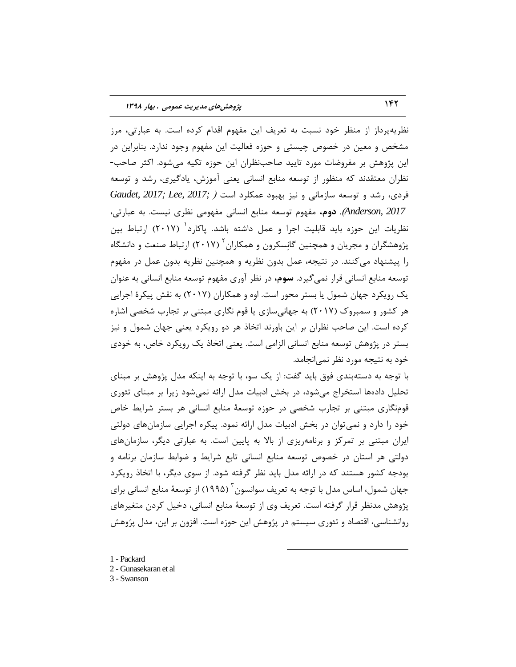نظریهپرداز از منظر خود نسبت به تعریف این مفهوم اقدام کرده است. به عبارتی، مرز مشخص و معین در خصوص چیستی و حوزه فعالیت این مفهوم وجود ندارد. بنابراین در این پژوهش بر مفروضات مورد تایید صاحبنظران این حوزه تکیه میشود. اکثر صاحب-نظران معتقدند که منظور از توسعه منابع انسانی یعنی آموزش، یادگیری، رشد و توسعه فردی، رشد و توسعه سازمانی و نیز بهبود عمکلرد است *( Gaudet, 2017; Lee, 2017;* Anderson, 2017). دوم، مفهوم توسعه منابع انسانی مفهومی نظری نیست. به عبارتی، نظریات این حوزه باید قابلیت اجرا و عمل داشته باشد. پاکارد<sup>۱</sup> (۲۰۱۷) ارتباط بین پژوهشگران و مجریان و همچنین گانِسکرون و همکاران<sup>۲</sup> (۲۰۱۷) ارتباط صنعت و دانشگاه را پیشنهاد میکنند. در نتیجه، عمل بدون نظریه و همچنین نظریه بدون عمل در مفهوم توسعه منابع انسانی قرار نمیگیرد. **سوم،** در نظر آوری مفهوم توسعه منابع انسانی به عنوان یک رویکرد جهان شمول یا بستر محور است. اوه و همکاران (۲۰۱۷) به نقش پیکرهٔ اجرایی هر كشور و سمبروک (٢٠١٧) به جهانی سازی یا قوم نگاری مبتنی بر تجارب شخصی اشاره كرده است. اين صاحب نظران بر اين باورند اتخاذ هر دو رويكرد يعني جهان شمول و نيز بستر در پژوهش توسعه منابع انسانی الزامی است. یعنی اتخاذ یک رویکرد خاص، به خودی خود به نتیجه مورد نظر نمی|نجامد.

با توجه به دستهبندی فوق باید گفت: از یک سو، با توجه به اینکه مدل پژوهش بر مبنای تحلیل دادهها استخراج میشود، در بخش ادبیات مدل ارائه نمیشود زیرا بر مبنای تئوری قومنگاری مبتنی بر تجارب شخصی در حوزه توسعهٔ منابع انسانی هر بستر شرایط خاص خود را دارد و نمی توان در بخش ادبیات مدل ارائه نمود. پیکره اجرایی سازمانهای دولتی ایران مبتنی بر تمرکز و برنامهریزی از بالا به پایین است. به عبارتی دیگر، سازمانهای دولتی هر استان در خصوص توسعه منابع انسانی تابع شرایط و ضوابط سازمان برنامه و بودجه کشور هستند که در ارائه مدل باید نظر گرفته شود. از سوی دیگر، با اتخاذ رویکرد جهان شمول، اساس مدل با توجه به تعريف سوانسون <sup>۳</sup> (١٩٩۵) از توسعهٔ منابع انسانی برای پژوهش مدنظر قرار گرفته است. تعریف وی از توسعهٔ منابع انسانی، دخیل کردن متغیرهای روانشناسی، اقتصاد و تئوری سیستم در پژوهش این حوزه است. افزون بر این، مدل پژوهش

 $\overline{a}$ 

- 1 Packard
- 2 Gunasekaran et al
- 3 Swanson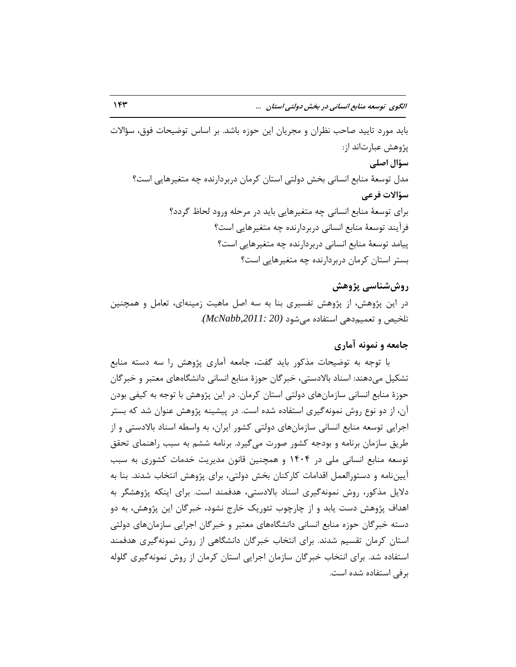باید مورد تایید صاحب نظران و مجریان این حوزه باشد. بر اساس توضیحات فوق، سؤالات پژوهش عبارتاند از: **سؤال اصلی** مدل توسعهٔ منابع انسانی بخش دولتی استان کرمان دربردارنده چه متغیرهایی است؟ **سؤازت فزعی** براي توسعهٔ منابع انساني چه متغيرهايي بايد در مرحله ورود لحاظ گردد؟ فرآیند توسعهٔ منابع انسانی دربردارنده چه متغیرهایی است؟ پیامد توسعهٔ منابع انسانی دربردارنده چه متغیرهایی است؟ بستر استان کرمان دربردارنده چه متغیرهایی است؟

# **رٍشضٌاسی پژٍّص**

در این پژوهش، از پژوهش تفسیری بنا به سه اصل ماهیت زمینهای، تعامل و همچنین تلخيص و تعميم دهي استفاده م<sub>ي</sub>شود *(2011: McNabb,2011: 20)*.

## جامعه و نمونه آمار**ی**

با توجه به توضیحات مذکور باید گفت، جامعه آماری پژوهش را سه دسته منابع تشكيل مى‹هند: اسناد بالادستى، خبر گان حوزهٔ منابع انسانى دانشگاههاى معتبر و خبر گان حوزهٔ منابع انسانی سازمانهای دولتی استان کرمان. در این پژوهش با توجه به کیفی بودن آن، از دو نوع روش نمونه گیری استفاده شده است. در پیشینه پژوهش عنوان شد که بستر اجرايي توسعه منابع انساني سازمانهاي دولتي كشور ايران، به واسطه اسناد بالادستي و از طريق سازمان برنامه و بودجه كشور صورت مي گيرد. برنامه ششم به سبب راهنماي تحقق توسعه منابع انسانی ملی در ۱۴۰۴ و همچنین قانون مدیریت خدمات کشوری به سبب آیینِ نامه و دستورالعمل اقدامات کارکنان بخش دولتی، برای پژوهش انتخاب شدند. بنا به دلایل مذکور، روش نمونهگیری اسناد بالادستی، هدفمند است. برای اینکه پژوهشگر به اهداف پژوهش دست یابد و از چارچوب تئوریک خارج نشود، خبرگان این پژوهش، به دو دسته خبرگان حوزه منابع انسانی دانشگاههای معتبر و خبرگان اجرایی سازمانهای دولتی استان کرمان تقسیم شدند. برای انتخاب خبرگان دانشگاهی از روش نمونهگیری هدفمند استفاده شد. برای انتخاب خبرگان سازمان اجرایی استان کرمان از روش نمونهگیری گلوله برفي استفاده شده است.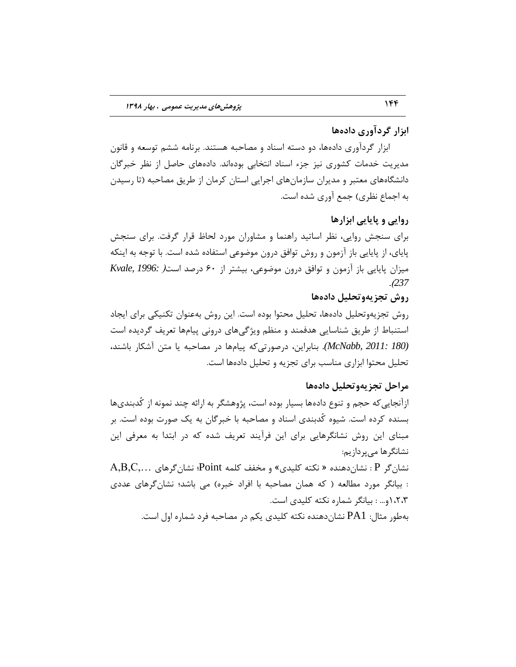# **ابشار گزدآٍری دادُّا**

ابزار گردآوری دادهها، دو دسته اسناد و مصاحبه هستند. برنامه ششم توسعه و قانون مدیریت خدمات کشوری نیز جزء اسناد انتخابی بودهاند. دادههای حاصل از نظر خبرگان دانشگاههای معتبر و مدیران سازمانهای اجرایی استان کرمان از طریق مصاحبه (تا رسیدن به اجماع نظري) جمع آوري شده است.

# **رٍایی ٍ پایایی ابشارّا**

برای سنجش روایی، نظر اساتید راهنما و مشاوران مورد لحاظ قرار گرفت. برای سنجش پایای، از پایایی باز آزمون و روش توافق درون موضوعی استفاده شده است. با توجه به اینکه هيزان پايايي باز آزمون و توافق درون موضوعي، بيشتر از ۶۰ درصد است (Kvale, 1996: .)*237*

# **رٍش تجشیٍِتحلیل دادُّا**

روش تجزيهوتحليل دادهها، تحليل محتوا بوده است. اين روش بهعنوان تكنيكي براي ايجاد استنباط از طريق شناسايي هدفمند و منظم ويژگىهاى دروني پيامها تعريف گرديده است *(180 .McNabb, 2011: ب*نابراین، درصورتی *ک*ه پیامها در مصاحبه یا متن آشکار باشند، تحليل محتوا ابزاري مناسب براي تجزيه و تحليل دادهها است.

#### **هزاحل تجشیٍِتحلیل دادُّا**

ازآنجایی که حجم و تنوع دادهها بسیار بوده است، پژوهشگر به ارائه چند نمونه از کُدبندیها بسنده کرده است. شیوه کَدبندی اسناد و مصاحبه با خبرگان به یک صورت بوده است. بر مبنای این روش نشانگرهایی برای این فرآیند تعریف شده که در ابتدا به معرفی این نشانگرها مے پر دازیم: نشانگر P : نشان(دهنده « نكته كليدي» و مخفف كلمه Point؛ نشانگرهای  $\rm P,\rm C,\rm ...$ 

: بیانگر مورد مطالعه ( که همان مصاحبه با افراد خبره) می باشد؛ نشانگرهای عددی ١،٢،٣ و... : بيانگر شماره نكته كليدى است.

بهطور مثال: PA1 نشانِدهنده نكته كليدي يكم در مصاحبه فرد شماره اول است.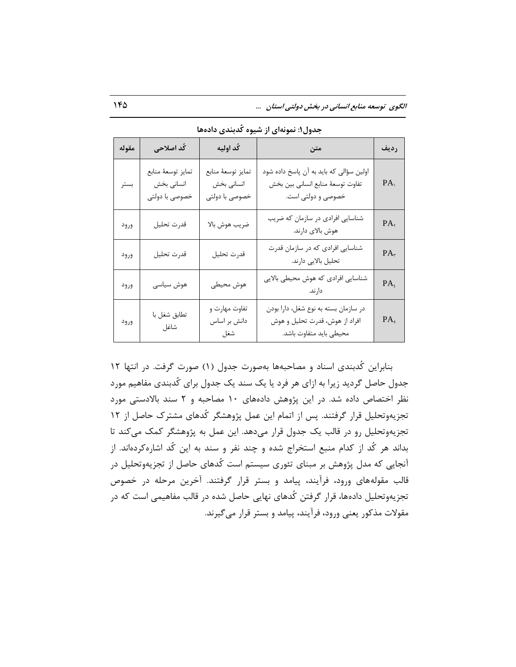| مقوله | کُد اصلاحی                                        | كُد اوليه                                         | متن                                                                                               | رديف            |
|-------|---------------------------------------------------|---------------------------------------------------|---------------------------------------------------------------------------------------------------|-----------------|
| بستر  | تمايز توسعة منابع<br>انسانی بخش<br>خصوصی با دولتی | تمايز توسعة منابع<br>انسانی بخش<br>خصوصی با دولتی | اولین سؤالی که باید به آن پاسخ داده شود<br>تفاوت توسعة منابع انساني بين بخش<br>خصوصی و دولتی است. | PA              |
| ورود  | قدرت تحليل                                        | ضريب هوش بالا                                     | شناسایی افرادی در سازمان که ضریب<br>هوش بالای دارند.                                              | $PA_{\tau}$     |
| ورود  | قدرت تحليل                                        | قدرت تحليل                                        | شناسایی افرادی که در سازمان قدرت<br>تحلیل بالایی دارند.                                           | $PA_r$          |
| ورود  | هوش سياسى                                         | هوش محيطى                                         | شناسایی افرادی که هوش محیطی بالایی<br>دار ند.                                                     | $PA_t$          |
| ورود  | تطابق شغل با<br>شاغل                              | تفاوت مهارت و<br>دانش بر اساس<br>شغل              | در سازمان بسته به نوع شغل، دارا بودن<br>افراد از هوش، قدرت تحلیل و هوش<br>محيطى بايد متفاوت باشد. | PA <sub>o</sub> |

جدول۱: نمونهای از شیوه کُدبِندی دادهها

بنابراین کُدبندی اسناد و مصاحبهها بهصورت جدول (١) صورت گرفت. در انتها ١٢ جدول حاصل گردید زیرا به ازای هر فرد یا یک سند یک جدول برای کُدبندی مفاهیم مورد نظر اختصاص داده شد. در این پژوهش دادههای ۱۰ مصاحبه و ۲ سند بالادستی مورد تجزيهوتحليل قرار گرفتند. پس از اتمام اين عمل پژوهشگر كُدهاى مشترک حاصل از ١٢ تجزيهوتحليل رو در قالب يک جدول قرار مي دهد. اين عمل به پژوهشگر کمک مي کند تا بداند هر کُد از کدام منبع استخراج شده و چند نفر و سند به این کُد اشارهکردهاند. از آنجایی که مدل پژوهش بر مبنای تئوری سیستم است کُدهای حاصل از تجزیهوتحلیل در قالب مقولههای ورود، فرآیند، پیامد و بستر قرار گرفتند. آخرین مرحله در خصوص تجزیهوتحلیل دادهها، قرار گرفتن کُدهای نهایی حاصل شده در قالبِ مفاهیمی است که در مقولات مذکور یعنی ورود، فرآیند، پیامد و بستر قرار می گیرند.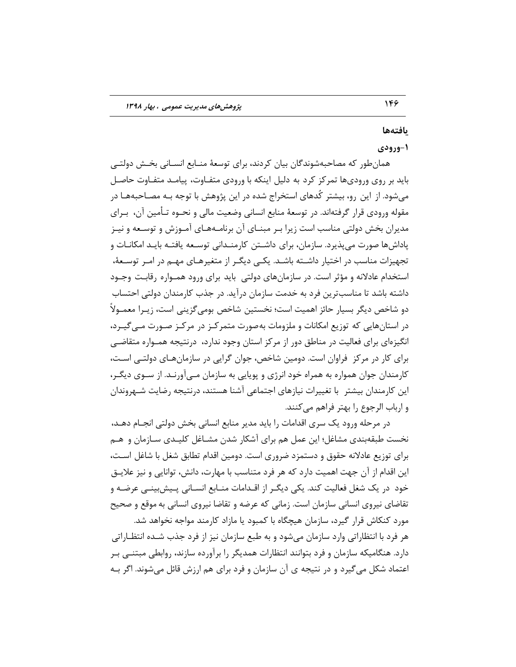## **یافتِّا**

# **ٍ-1رٍدی**

همانطور که مصاحبهشوندگان بیان کردند، برای توسعهٔ منـابع انسـانی بخـش دولتــی باید بر روی ورودیها تمرکز کرد به دلیل اینکه با ورودی متفاوت، پیامـد متفـاوت حاصـل می شود. از این رو، بیشتر کُدهای استخراج شده در این پژوهش با توجه بـه مصـاحبههـا در ٔ مقوله ورودی قرار گرفتهاند. در توسعهٔ منابع انسانی وضعیت مالی و نحـوه تـأمین آن، ۖ بـرای مدیران بخش دولتی مناسب است زیرا بـر مبنــای آن برنامــههـای آمــوزش و توســعه و نیــز پاداشها صورت می پذیرد. سازمان، برای داشـتن کارمنـدانی توسـعه یافتـه بایـد امکانـات و تجهیزات مناسب در اختیار داشـته باشـد. یکـی دیگـر از متغیرهـای مهـم در امـر توسـعهٔ، استخدام عادلانه و مؤثر است. در سازمانهای دولتی باید برای ورود همـواره رقابـت وجـود داشته باشد تا مناسبترین فرد به خدمت سازمان درآید. در جذب کارمندان دولتی احتساب دو شاخص ديگر بسيار حائز اهميت است؛ نخستين شاخص بوميگزيني است، زيـرا معمـولاً در استانهایی که توزیع امکانات و ملزومات بهصورت متمرکـز در مرکـز صـورت مـی٤یـرد، انگیزهای برای فعالیت در مناطق دور از مركز استان وجود ندارد، درنتیجه همـواره متقاضـی برای کار در مرکز فراوان است. دومین شاخص، جوان گرایی در سازمان هـای دولتـی اسـت، کا, مندان جوان همواره به همراه خود انرژی و پویایی به سازمان مـیآورنـد. از سـوی دیگـر، این کارمندان بیشتر با تغییرات نیازهای اجتماعی آشنا هستند، درنتیجه رضایت شـهروندان و ارباب الرجوع را بهتر فراهم مے کنند.

در مرحله ورود یک سری اقدامات را باید مدیر منابع انسانی بخش دولتی انجـام دهـد، نخست طبقهبندی مشاغل؛ این عمل هم برای آشکار شدن مشـاغل کلیـدی سـازمان و هـم براي توزيع عادلانه حقوق و دستمزد ضروري است. دومين اقدام تطابق شغل با شاغل اسـت، این اقدام از آن جهت اهمیت دارد که هر فرد متناسب با مهارت، دانش، توانایی و نیز علایــق خود در یک شغل فعالیت کند. یکی دیگـر از اقـدامات منــابع انســانی پــیش،بینــی عرضــه و تقاضاي نيروي انساني سازمان است. زماني كه عرضه و تقاضا نيروي انساني به موقع و صحيح مورد کنکاش قرار گیرد، سازمان هیچگاه با کمبود یا مازاد کارمند مواجه نخواهد شد. هر فرد با انتظاراتی وارد سازمان میشود و به طبع سازمان نیز از فرد جذب شـده انتظــاراتی دارد. هنگامیکه سازمان و فرد بتوانند انتظارات همدیگر را برآورده سازند، روابطی مبتنــی بـر اعتماد شکل می گیرد و در نتیجه ی آن سازمان و فرد برای هم ارزش قائل میشوند. اگر بـه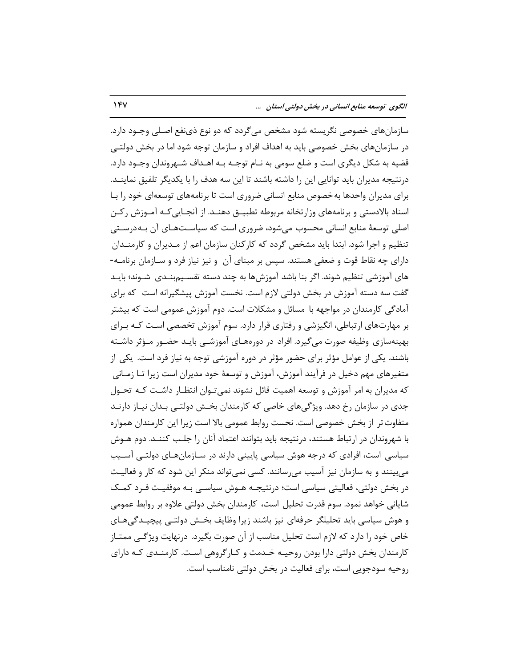سازمانهای خصوصی نگریسته شود مشخص میگردد که دو نوع ذینفع اصـلی وجـود دارد. در سازمانهای بخش خصوصی باید به اهداف افراد و سازمان توجه شود اما در بخش دولتـی قضیه به شکل دیگری است و ضلع سومی به نـام توجـه بـه اهـداف شـهروندان وجـود دارد. درنتيجه مديران بايد توانايي اين را داشته باشند تا اين سه هدف را با يكديگر تلفيق نماينـد. برای مدیران واحدها به خصوص منابع انسانی ضروری است تا برنامههای توسعهای خود را بـا اسناد بالادستی و برنامههای وزارتخانه مربوطه تطبیـق دهنـد. از آنجـایی کـه آمـوزش رکـن اصلی توسعهٔ منابع انسانی محسوب می شود، ضروری است که سیاسـتهـای آن بـه درسـتی تنظیم و اجرا شود. ابتدا باید مشخص گردد که کارکنان سازمان اعم از مـدیران و کارمنـدان دارای چه نقاط قوت و ضعفی هستند. سپس بر مبنای آن ۖ و نیز نیاز فرد و سـازمان برنامــه-های آموزشی تنظیم شوند. اگر بنا باشد آموزشها به چند دسته تقسـیمبنـدی شــوند؛ بایــد گفت سه دسته آموزش در بخش دولتی لازم است. نخست آموزش پیشگیرانه است که برای آمادگی کارمندان در مواجهه با مسائل و مشکلات است. دوم آموزش عمومی است که بیشتر بر مهارتهای ارتباطی، انگیزشی و رفتاری قرار دارد. سوم آموزش تخصصی است کـه بـرای بهینهسازی وظیفه صورت میگیرد. افراد در دورههای آموزشـی بایـد حضـور مـؤثر داشـته باشند. یکی از عوامل مؤثر برای حضور مؤثر در دوره آموزشی توجه به نیاز فرد است. یکی از متغیرهای مهم دخیل در فرآیند آموزش، آموزش و توسعهٔ خود مدیران است زیرا تـا زمـانی که مدیران به امر آموزش و توسعه اهمیت قائل نشوند نمی تـوان انتظـار داشـت کـه تحـول جدی در سازمان رخ دهد. ویژگیهای خاصی که کارمندان بخـش دولتـی بـدان نیـاز دارنـد متفاوت تر از بخش خصوصی است. نخست روابط عمومی بالا است زیرا این کارمندان همواره با شهروندان در ارتباط هستند، درنتيجه بايد بتوانند اعتماد آنان را جلب كننـد. دوم هــوش سیاسی است، افرادی که درجه هوش سیاسی پایینی دارند در سـازمانهـای دولتـی آســیب میبینند و به سازمان نیز آسیب میرسانند. کسی نمیتواند منکر این شود که کار و فعالیت در بخش دولتی، فعالیتی سیاسی است؛ درنتیجـه هــوش سیاســی بــه موفقیــت فــرد کمــک شایانی خواهد نمود. سوم قدرت تحلیل است، کارمندان بخش دولتی علاوه بر روابط عمومی و هوش سیاسی باید تحلیلگر حرفهای نیز باشند زیرا وظایف بخـش دولتــی پیچیــدگی۵هــای خاص خود را دارد که لازم است تحلیل مناسب از آن صورت بگیرد. درنهایت ویژگـی ممتـاز کارمندان بخش دولتی دارا بودن روحیـه خـدمت و کـارگروهی اسـت. کارمنـدی کـه دارای روحیه سودجویی است، برای فعالیت در بخش دولتی نامناسب است.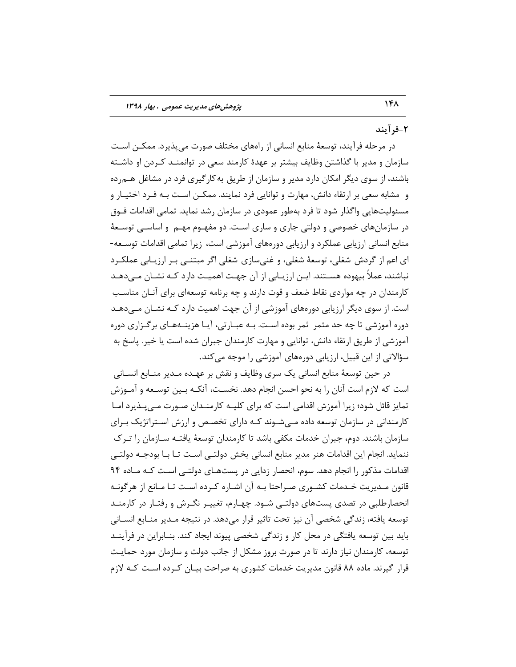# **-2فزآیٌذ**

در مرحله فرايند، توسعهٔ منابع انساني از راههاي مختلف صورت ميپذيرد. ممكــن اســت سازمان و مدیر با گذاشتن وظایف بیشتر بر عهدهٔ کارمند سعی در توانمنــد کــردن او داشــته باشند، از سوی دیگر امکان دارد مدیر و سازمان از طریق به کارگیری فرد در مشاغل هـم٫ده و مشابه سعی بر ارتقاء دانش، مهارت و توانایی فرد نمایند. ممکـن اسـت بـه فـرد اختیـار و مسئولیتهایی واگذار شود تا فرد بهطور عمودی در سازمان رشد نماید. تمامی اقدامات فـوق در سازمانهای خصوصی و دولتی جاری و ساری است. دو مفهـوم مهـم و اساســی توســعهٔ منابع انسانی ارزیابی عملکرد و ارزیابی دورههای آموزشی است، زیرا تمامی اقدامات توسـعه-اي اعم از گردش شغلي، توسعهٔ شغلي، و غنيسازي شغلي اگر مبتنـي بـر ارزيـابي عملكـرد نباشند، عملاً بیهوده هسـتند. ایـن ارزیـابی از آن جهـت اهمیـت دارد کـه نشـان مـیدهـد کارمندان در چه مواردی نقاط ضعف و قوت دارند و چه برنامه توسعهای برای آنـان مناسـب است. از سوی دیگر ارزیابی دورههای آموزشی از آن جهت اهمیت دارد كـه نشـان مـی۵هـد دوره آموزشي تا چه حد مثمر "ثمر بوده است. بـه عبـارتي، آيـا هزينـههـاي برگـزاري دوره آموزشي از طريق ارتقاء دانش، توانايي و مهارت كارمندان جبران شده است يا خير. پاسخ به سؤالاتی از این قبیل، ارزیابی دورەهای آموزشی را موجه می کند.

در حین توسعهٔ منابع انسانی یک سری وظایف و نقش بر عهـده مـدیر منـابع انسـانی است که لازم است آنان را به نحو احسن انجام دهد. نخسـت، آنکـه بـین توسـعه و آمـوزش تمایز قائل شود؛ زیرا آموزش اقدامی است که برای کلیـه کارمنـدان صـورت مـی پـذیرد امـا کارمندانی در سازمان توسعه داده مے شـوند کـه دارای تخصـص و ارزش اسـتراتژیک بـرای سازمان باشند. دوم، جبران خدمات مکفی باشد تا کارمندان توسعهٔ یافتـه ســازمان را تـرک ننمايد. انجام اين اقدامات هنر مدير منابع انساني بخش دولتـي اسـت تـا بـا بودجـه دولتـي اقدامات مذکور را انجام دهد. سوم، انحصار زدایی در پستهبای دولتبی است کبه مباده ۹۴ قانون مـدیریت خـدمات کشـوری صـراحتا بـه آن اشـاره کـرده اسـت تـا مـانع از هرگونـه انحصارطلبی در تصدی پستهای دولتـی شـود. چهـارم، تغییـر نگـرش و رفتـار در کارمنـد توسعه يافته، زندگي شخصي آن نيز تحت تاثير قرار ميدهد. در نتيجه مـدير منـابع انسـاني بايد بين توسعه يافتگي در محل كار و زندگي شخصي پيوند ايجاد كند. بنــابراين در فرآينــد توسعه، کارمندان نیاز دارند تا در صورت بروز مشکل از جانب دولت و سازمان مورد حمایـت قرار گیرند. ماده ۸۸ قانون مدیریت خدمات کشوری به صراحت بیـان کـرده اسـت کـه لازم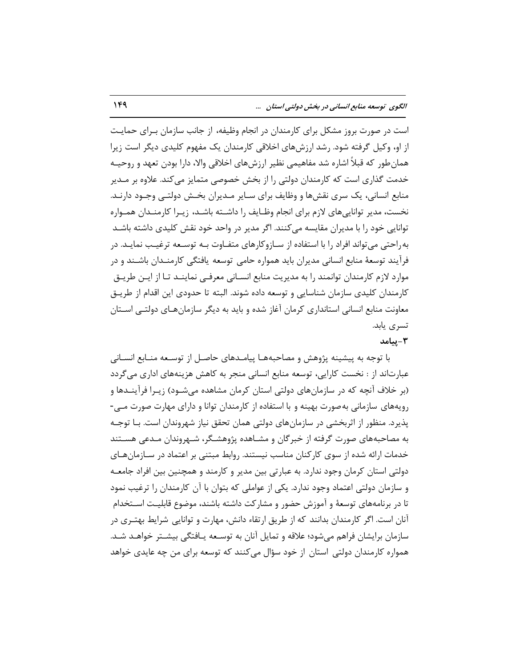است در صورت بروز مشكل براي كارمندان در انجام وظيفه، از جانب سازمان بـراي حمايـت از او، وکیل گرفته شود. رشد ارزشهای اخلاقی کارمندان یک مفهوم کلیدی دیگر است زیرا همان طور که قبلاً اشاره شد مفاهیمی نظیر ارزشهای اخلاقی والا، دارا بودن تعهد و روحیـه خدمت گذاری است که کارمندان دولتی را از بخش خصوصی متمایز می کند. علاوه بر مـدیر منابع انسانی، یک سری نقشها و وظایف برای سـایر مـدیران بخـش دولتـی وجـود دارنـد. نخست، مدیر تواناییهای لازم برای انجام وظـایف را داشـته باشـد، زیـرا کارمنـدان همـواره توانایی خود را با مدیران مقایسه می کنند. اگر مدیر در واحد خود نقش کلیدی داشته باشـد به راحتی میتواند افراد را با استفاده از سـازوکارهای متفـاوت بـه توسـعه ترغيـب نمايـد. در فرآیند توسعهٔ منابع انسانی مدیران باید همواره حامی توسعه یافتگی کارمنـدان باشـند و در موارد لازم کارمندان توانمند را به مدیریت منابع انسـانی معرفـی نماینــد تـا از ایــن طریــق کارمندان کلیدی سازمان شناسایی و توسعه داده شوند. البته تا حدودی این اقدام از طریـق معاونت منابع انسانی استانداری کرمان آغاز شده و باید به دیگر سازمانهـای دولتـی اسـتان تسری یابد.

#### **-3پیاهذ**

با توجه به پیشینه پژوهش و مصاحبههـا پیامـدهای حاصـل از توسـعه منــابع انســانی عبارتاند از : نخست کارایی، توسعه منابع انسانی منجر به کاهش هزینههای اداری می گردد (بر خلاف آنچه که در سازمانهای دولتی استان کرمان مشاهده میشـود) زیـرا فرآینـدها و رویههای سازمانی به صورت بهینه و با استفاده از کارمندان توانا و دارای مهارت صورت مـی-یذیرد. منظور از اثربخشی در سازمانهای دولتی همان تحقق نیاز شهروندان است. بـا توجـه به مصاحبههای صورت گرفته از خبرگان و مشـاهده پژوهشـگر، شـهروندان مـدعی هسـتند خدمات ارائه شده از سوی کارکنان مناسب نیستند. روابط مبتنی بر اعتماد در سـازمانهـای دولتی استان کرمان وجود ندارد. به عبارتی بین مدیر و کارمند و همچنین بین افراد جامعـه و سازمان دولتی اعتماد وجود ندارد. یکی از عواملی که بتوان با آن کارمندان را ترغیب نمود تا در برنامههای توسعهٔ و آموزش حضور و مشارکت داشته باشند، موضوع قابلیـت اســتخدام آنان است. اگر کارمندان بدانند که از طریق ارتقاء دانش، مهارت و توانایی شرایط بهتـری در سازمان برایشان فراهم میشود؛ علاقه و تمایل آنان به توسـعه یـافتگی بیشـتر خواهـد شـد. همواره کارمندان دولتی استان از خود سؤال میکنند که توسعه برای من چه عایدی خواهد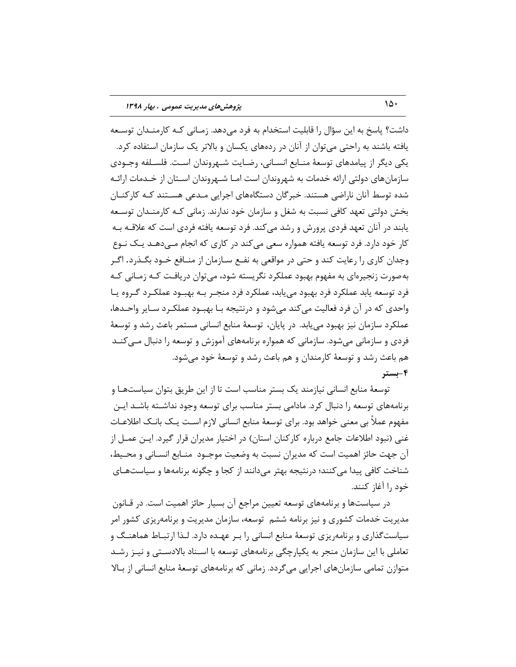داشت؟ پاسخ به این سؤال را قابلیت استخدام به فرد مے دهد. زمـانی کـه کارمنـدان توسـعه یافته باشند به راحتی میتوان از آنان در ردههای یکسان و بالاتر یک سازمان استفاده کرد. يکي ديگر از پيامدهاي توسعۀ منــابع انســاني، رضــايت شــهروندان اســت. فلســلفه وجــودي سازمانِهای دولتی ارائه خدمات به شهروندان است امـا شــهروندان اســتان از خــدمات ارائــه شده توسط آنان ناراضی هستند. خبر گان دستگاههای اجرایی مـدعی هســتند کـه کارکنــان بخش دولتی تعهد کافی نسبت به شغل و سازمان خود ندارند. زمانی کـه کارمنـدان توسـعه یابند در آنان تعهد فردی پرورش و رشد می کند. فرد توسعه یافته فردی است که علاقــه بــه کار خود دارد. فرد توسعه یافته همواره سعی میکند در کاری که انجام مـیدهـد یـک نـوع وجدان کاری را رعایت کند و حتی در مواقعی به نفـع سـازمان از منـافع خـود بگـذرد. اگـر به صورت زنجیرهای به مفهوم بهبود عملکرد نگریسته شود، می توان دریافت کـه زمـانی کـه فرد توسعه يابد عملكرد فرد بهبود مى يابد، عملكرد فرد منجـر بـه بهبـود عملكـرد گـروه يـا واحدی که در آن فرد فعالیت میکند میشود و درنتیجه بـا بهبـود عملکـرد سـایر واحـدها، عملکرد سازمان نیز بهبود می پابد. در پایان، توسعهٔ منابع انسانی مستمر باعث رشد و توسعهٔ فردی و سازمانی میشود. سازمانی که همواره برنامههای آموزش و توسعه را دنبال مـیکنـد هم باعث رشد و توسعهٔ کارمندان و هم باعث رشد و توسعهٔ خود می شود. **-4بستز**

توسعهٔ منابع انسانی نیازمند یک بستر مناسب است تا از این طریق بتوان سیاستهـا و برنامههای توسعه را دنبال کرد. مادامی بستر مناسب برای توسعه وجود نداشـته باشـد ایـن ْ مفْهوم عملاً بي معنى خواهد بود. براي توسعهٔ منابع انساني لازم است يـک بانـک اطلاعـات غنی (نبود اطلاعات جامع درباره کارکنان استان) در اختیار مدیران قرار گیرد. ایـن عمـل از آن جهت حائز اهميت است كه مديران نسبت به وضعيت موجــود منــابع انســاني و محــيط، شناخت کافی پیدا می کنند؛ درنتیجه بهتر میدانند از کجا و چگونه برنامهها و سیاستهای خود ,ا آغاز كنند.

در سیاستها و برنامههای توسعه تعیین مراجع آن بسیار حائز اهمیت است. در قــانون مدیریت خدمات کشوری و نیز برنامه ششم توسعه، سازمان مدیریت و برنامهریزی کشور امر سیاستگذاری و برنامهریزی توسعهٔ منابع انسانی را بـر عهـده دارد. لـذا ارتبـاط هماهنـگ و تعاملی با این سازمان منجر به یکپارچگی برنامههای توسعه با اسـناد بالادسـتی و نیــز رشــد متوازن تمامی سازمانهای اجرایی میگردد. زمانی که برنامههای توسعهٔ منابع انسانی از بـالا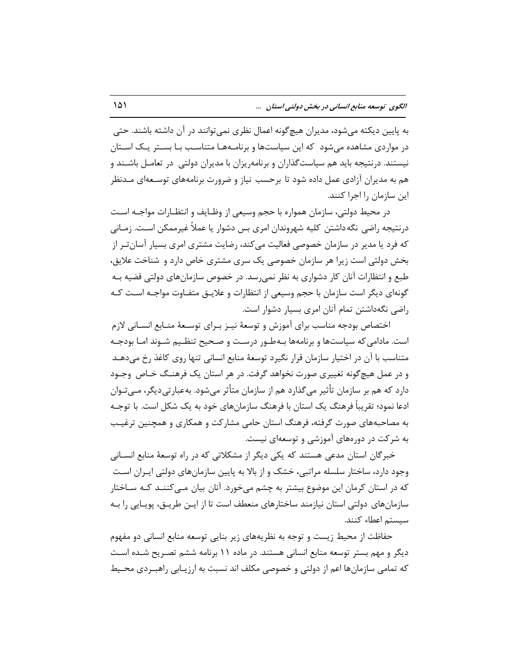به پایین دیکته می شود، مدیران هیچ گونه اعمال نظری نمی توانند در آن داشته باشند. حتی در مواردی مشاهده میشود که این سیاستها و برنامـههـا متناسـب بـا بسـتر یـک اسـتان نیستند. درنتیجه باید هم سیاست گذاران و برنامهریزان با مدیران دولتی ِ در تعامـل باشـند و هم به مدیران آزادی عمل داده شود تا برحسب نیاز و ضرورت برنامههای توسـعهای مـدنظر این سازمان ,ا اجرا کنند.

در محيط دولتي، سازمان همواره با حجم وسيعي از وظـايف و انتظـارات مواجــه اســت درنتیجه راضی نگه داشتن کلیه شهروندان امری بس دشوار یا عملاً غیرممکن است. زمـانی که فرد یا مدیر در سازمان خصوصی فعالیت میکند، رضایت مشتری امری بسیار آسان تـر از بخش دولتی است زیرا هر سازمان خصوصی یک سری مشتری خاص دارد و شناخت علایق، طبع و انتظارات آنان کار دشواری به نظر نمیرسد. در خصوص سازمانهای دولتی قضیه بـه گونهای دیگر است سازمان با حجم وسیعی از انتظارات و علایــق متفــاوت مواجــه اســت کــه راضي نگهداشتن تمام آنان امري بسيار دشوار است.

اختصاص بودجه مناسب براي آموزش و توسعهٔ نيـز بـراي توسـعهٔ منـابع انسـاني لازم است. مادامی که سیاستها و برنامهها بـهطـور درسـت و صـحیح تنظـیم شـوند امـا بودجـه متناسب با آن در اختیار سازمان قرار نگیرد توسعهٔ منابع انسانی تنها روی کاغذ رخ میدهـد و در عمل هیچ گونه تغییری صورت نخواهد گرفت. در هر استان یک فرهنـگ خـاص وجـود دارد که هم بر سازمان تأثیر می گذارد هم از سازمان متأثر می شود. به عبارتی دیگر، مــی تـوان ادعا نمود؛ تقريباً فرهنگ يک استان با فرهنگ سازمانهاي خود به يک شکل است. با توجـه به مصاحبههای صورت گرفته، فرهنگ استان حامی مشارکت و همکاری و همچنین ترغیب به شرکت در دورههای آموزشی و توسعهای نیست.

خبرگان استان مدعی هستند که یکی دیگر از مشکلاتی که در راه توسعهٔ منابع انسـانی وجود دارد، ساختار سلسله مراتبی، خشک و از بالا به پایین سازمانهای دولتی ایـران اسـت كه در استان كرمان اين موضوع بيشتر به چشم مي خورد. آنان بيان مـي كننـد كـه ســاختار سازمانهای دولتی استان نیازمند ساختارهای منعطف است تا از ایـن طریـق، پویـایی را بـه سيستم اعطاء كنند.

حفاظت از محیط زیست و توجه به نظریههای زیر بنایی توسعه منابع انسانی دو مفهوم دیگر و مهم بستر توسعه منابع انسانی هستند. در ماده ۱۱ برنامه ششم تصـریح شـده اسـت که تمامی سازمانها اعم از دولتی و خصوصی مکلف اند نسبت به ارزیـابی راهبـردی محـیط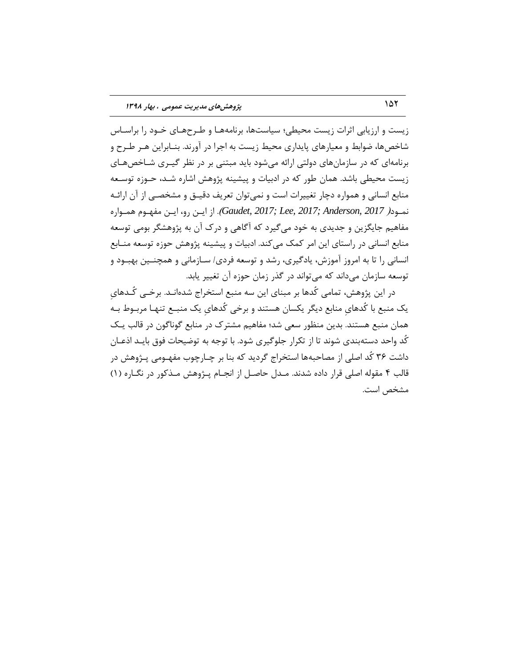زیست و ارزیابی اثرات زیست محیطی؛ سیاستها، برنامههـا و طـرحهـای خـود را براسـاس شاخصها، ضوابط و معیارهای پایداری محیط زیست به اجرا در آورند. بنـابراین هـر طـرح و برنامهای که در سازمانهای دولتی ارائه می شود باید مبتنی بر در نظر گیـری شـاخصهـای زیست محیطی باشد. همان طور که در ادبیات و پیشینه پژوهش اشاره شـد، حـوزه توسـعه منابع انسانی و همواره دچار تغییرات است و نمی توان تعریف دقیــق و مشخصــی از آن ارائــه نمـود( 2017 , *Caudet, 2017; Lee, 2017; Anderson, 2017).* از ايـن رو، ايـن مفهـوم همـواره مفاهیم جایگزین و جدیدی به خود می گیرد که آگاهی و درک آن به پژوهشگر بومی توسعه منابع انسانی در راستای این امر كمک میکند. ادبیات و پیشینه پژوهش حوزه توسعه منـابع انسانی را تا به امروز آموزش، یادگیری، رشد و توسعه فردی/ سـازمانی و همچنــین بهبـود و توسعه سازمان می داند که می تواند در گذر زمان حوزه آن تغییر پابد.

در این پژوهش، تمامی کُدها بر مبنای این سه منبع استخراج شدهانـد. برخــی کُـدهای یک منبع با کُدهای منابع دیگر یکسان هستند و برخی کُدهای یک منبـع تنهـا مربـوط بـه همان منبع هستند. بدین منظور سعی شد؛ مفاهیم مشترک در منابع گوناگون در قالب یـک کُد واحد دستهبندی شوند تا از تکرار جلوگیری شود. با توجه به توضیحات فوق بایـد اذعـان داشت ٣۶ كُد اصلي از مصاحبهها استخراج گرديد كه بنا بر چـارچوب مفهـومي پــژوهش در قالب ۴ مقوله اصلی قرار داده شدند. مـدل حاصـل از انجـام پـژوهش مـذکور در نگـاره (۱) مشخص است.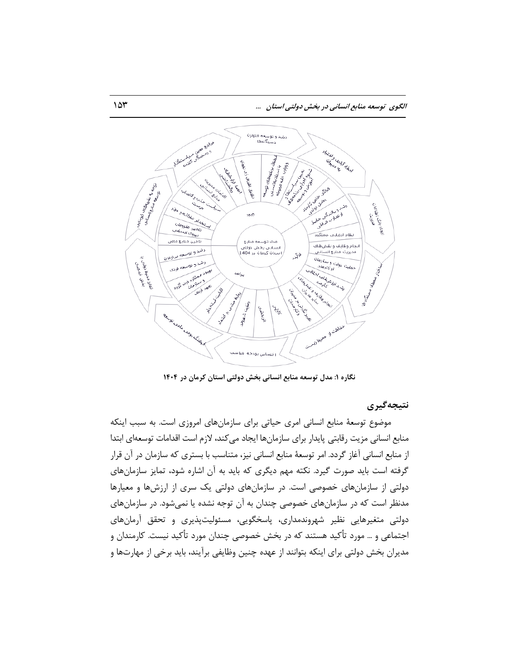

**ًگارُ :1 هذل تَسعِ هٌابع اًساًی بخص دٍلتی استاى کزهاى در 1404**

**ًتیجِگیزی**

موضوع توسعهٔ منابع انسانی امری حیاتی برای سازمانهای امروزی است. به سبب اینکه منابع انسانی مزیت رقابتی پایدار برای سازمانها ایجاد میکند، لازم است اقدامات توسعهای ابتدا از منابع انسانی آغاز گردد. امر توسعهٔ منابع انسانی نیز، متناسب با بستری که سازمان در آن قرار گرفته است باید صورت گیرد. نکته مهم دیگری که باید به آن اشاره شود، تمایز سازمانهای دولتی از سازمانهای خصوصی است. در سازمانهای دولتی یک سری از ارزشها و معیارها مدنظر است که در سازمانهای خصوصی چندان به آن توجه نشده یا نمیشود. در سازمانهای دولتی متغیرهایی نظیر شهروندمداری، پاسخگویی، مسئولیتپذیری و تحقق آرمانهای اجتماعی و … مورد تأکید هستند که در بخش خصوصی چندان مورد تأکید نیست. کارمندان و مدیران بخش دولتی برای اینکه بتوانند از عهده چنین وظایفی برآیند، باید برخی از مهارتها و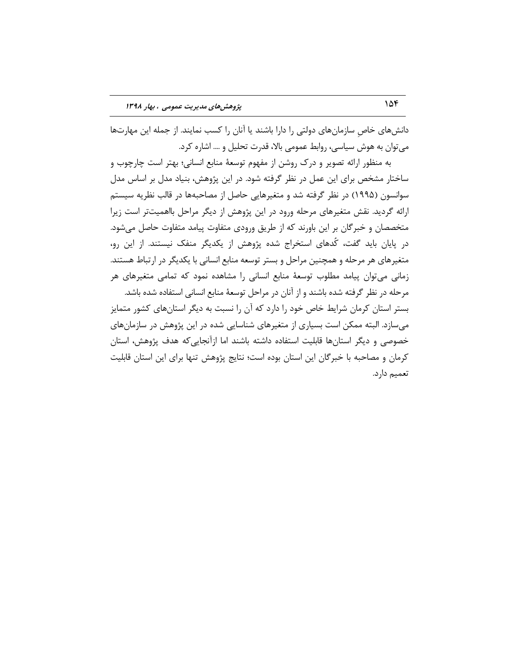دانشهای خاص سازمانهای دولتی را دارا باشند یا آنان را کسب نمایند. از جمله این مهارتها می توان به هوش سیاسی، روابط عمومی بالا، قدرت تحلیل و .... اشاره کرد.

به منظور ارائه تصویر و درک روشن از مفهوم توسعهٔ منابع انسانی؛ بهتر است چارچوب و ساختار مشخص برای این عمل در نظر گرفته شود. در این پژوهش، بنیاد مدل بر اساس مدل سوانسون (١٩٩۵) در نظر گرفته شد و متغیرهایی حاصل از مصاحبهها در قالب نظریه سیستم ارائه گردید. نقش متغیرهای مرحله ورود در این پژوهش از دیگر مراحل بااهمیتتر است زیرا متخصصان و خبرگان بر این باورند که از طریق ورودی متفاوت پیامد متفاوت حاصل می شود. در پایان باید گفت، کُدهای استخراج شده پژوهش از یکدیگر منفک نیستند. از این رو، متغیرهای هر مرحله و همچنین مراحل و بستر توسعه منابع انسانی با یکدیگر در ارتباط هستند. زمانی می توان پیامد مطلوب توسعهٔ منابع انسانی را مشاهده نمود که تمامی متغیرهای هر مرحله در نظر گرفته شده باشند و از آنان در مراحل توسعهٔ منابع انسانی استفاده شده باشد. بستر استان کرمان شرایط خاص خود را دارد که آن را نسبت به دیگر استانهای کشور متمایز م ِسازد. البته ممکن است بسیاری از متغیرهای شناسایی شده در این پژوهش در سازمانهای خصوصی و دیگر استانها قابلیت استفاده داشته باشند اما ازآنجاییکه هدف پژوهش، استان کرمان و مصاحبه با خبرگان این استان بوده است؛ نتایج پژوهش تنها برای این استان قابلیت تعميم دارد.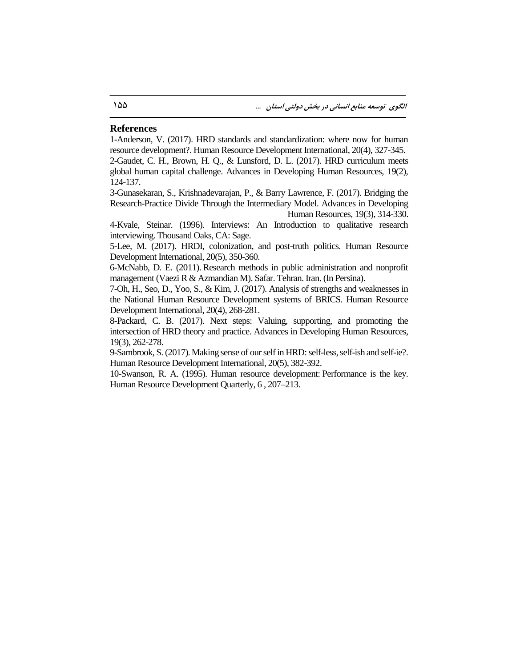#### **References**

1-Anderson, V. (2017). HRD standards and standardization: where now for human resource development?. Human Resource Development International, 20(4), 327-345. 2-Gaudet, C. H., Brown, H. Q., & Lunsford, D. L. (2017). HRD curriculum meets global human capital challenge. Advances in Developing Human Resources, 19(2), 124-137.

3-Gunasekaran, S., Krishnadevarajan, P., & Barry Lawrence, F. (2017). Bridging the Research-Practice Divide Through the Intermediary Model. Advances in Developing Human Resources, 19(3), 314-330.

4-Kvale, Steinar. (1996). Interviews: An Introduction to qualitative research interviewing. Thousand Oaks, CA: Sage.

5-Lee, M. (2017). HRDI, colonization, and post-truth politics. Human Resource Development International, 20(5), 350-360.

6-McNabb, D. E. (2011). Research methods in public administration and nonprofit management (Vaezi R & Azmandian M). Safar. Tehran. Iran. (In Persina).

7-Oh, H., Seo, D., Yoo, S., & Kim, J. (2017). Analysis of strengths and weaknesses in the National Human Resource Development systems of BRICS. Human Resource Development International, 20(4), 268-281.

8-Packard, C. B. (2017). Next steps: Valuing, supporting, and promoting the intersection of HRD theory and practice. Advances in Developing Human Resources, 19(3), 262-278.

9-Sambrook, S. (2017). Making sense of our self in HRD: self-less, self-ish and self-ie?. Human Resource Development International, 20(5), 382-392.

10-Swanson, R. A. (1995). Human resource development: Performance is the key. Human Resource Development Quarterly, 6 , 207–213.